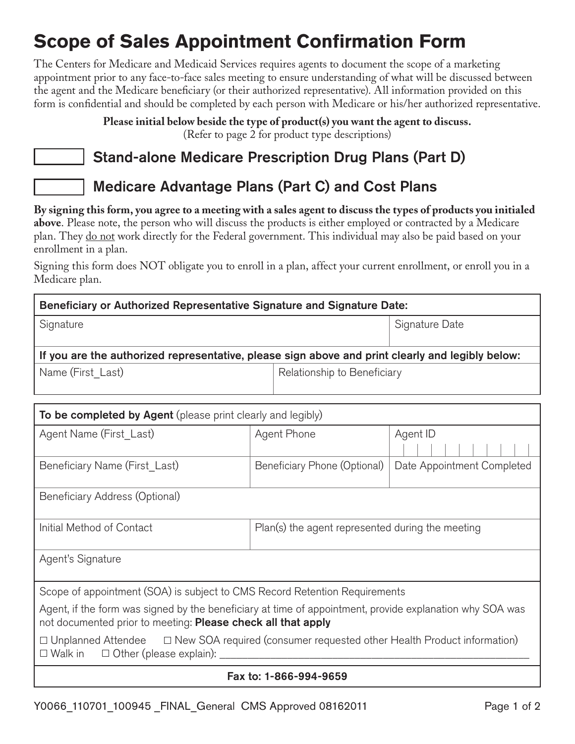# **Scope of Sales Appointment Confirmation Form**

The Centers for Medicare and Medicaid Services requires agents to document the scope of a marketing appointment prior to any face-to-face sales meeting to ensure understanding of what will be discussed between the agent and the Medicare beneficiary (or their authorized representative). All information provided on this form is confidential and should be completed by each person with Medicare or his/her authorized representative.

> **Please initial below beside the type of product(s) you want the agent to discuss.** (Refer to page 2 for product type descriptions)

## Stand-alone Medicare Prescription Drug Plans (Part D)

### Medicare Advantage Plans (Part C) and Cost Plans

**By signing this form, you agree to a meeting with a sales agent to discuss the types of products you initialed above**. Please note, the person who will discuss the products is either employed or contracted by a Medicare plan. They do not work directly for the Federal government. This individual may also be paid based on your enrollment in a plan.

Signing this form does NOT obligate you to enroll in a plan, affect your current enrollment, or enroll you in a Medicare plan.

| Beneficiary or Authorized Representative Signature and Signature Date:                           |                             |                |  |  |
|--------------------------------------------------------------------------------------------------|-----------------------------|----------------|--|--|
| Signature                                                                                        |                             | Signature Date |  |  |
| If you are the authorized representative, please sign above and print clearly and legibly below: |                             |                |  |  |
| Name (First Last)                                                                                | Relationship to Beneficiary |                |  |  |

| To be completed by Agent (please print clearly and legibly)                                                                                                              |                                                  |                            |  |
|--------------------------------------------------------------------------------------------------------------------------------------------------------------------------|--------------------------------------------------|----------------------------|--|
| Agent Name (First Last)                                                                                                                                                  | Agent Phone                                      | Agent ID                   |  |
| Beneficiary Name (First Last)                                                                                                                                            | Beneficiary Phone (Optional)                     | Date Appointment Completed |  |
| Beneficiary Address (Optional)                                                                                                                                           |                                                  |                            |  |
| Initial Method of Contact                                                                                                                                                | Plan(s) the agent represented during the meeting |                            |  |
| Agent's Signature                                                                                                                                                        |                                                  |                            |  |
| Scope of appointment (SOA) is subject to CMS Record Retention Requirements                                                                                               |                                                  |                            |  |
| Agent, if the form was signed by the beneficiary at time of appointment, provide explanation why SOA was<br>not documented prior to meeting: Please check all that apply |                                                  |                            |  |
| $\Box$ Unplanned Attendee $\Box$ New SOA required (consumer requested other Health Product information)<br>$\Box$ Walk in $\Box$ Other (please explain):                 |                                                  |                            |  |
| Fax to: 1-866-994-9659                                                                                                                                                   |                                                  |                            |  |